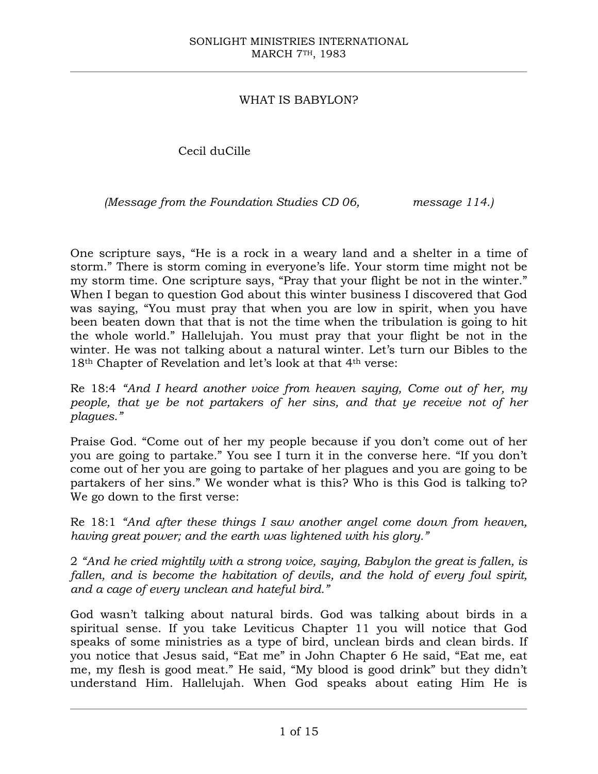## WHAT IS BABYLON?

Cecil duCille

*(Message from the Foundation Studies CD 06, message 114.)*

One scripture says, "He is a rock in a weary land and a shelter in a time of storm." There is storm coming in everyone's life. Your storm time might not be my storm time. One scripture says, "Pray that your flight be not in the winter." When I began to question God about this winter business I discovered that God was saying, "You must pray that when you are low in spirit, when you have been beaten down that that is not the time when the tribulation is going to hit the whole world." Hallelujah. You must pray that your flight be not in the winter. He was not talking about a natural winter. Let's turn our Bibles to the 18<sup>th</sup> Chapter of Revelation and let's look at that 4<sup>th</sup> verse:

Re 18:4 *"And I heard another voice from heaven saying, Come out of her, my people, that ye be not partakers of her sins, and that ye receive not of her plagues."*

Praise God. "Come out of her my people because if you don't come out of her you are going to partake." You see I turn it in the converse here. "If you don't come out of her you are going to partake of her plagues and you are going to be partakers of her sins." We wonder what is this? Who is this God is talking to? We go down to the first verse:

Re 18:1 *"And after these things I saw another angel come down from heaven, having great power; and the earth was lightened with his glory."*

2 *"And he cried mightily with a strong voice, saying, Babylon the great is fallen, is fallen, and is become the habitation of devils, and the hold of every foul spirit, and a cage of every unclean and hateful bird."*

God wasn't talking about natural birds. God was talking about birds in a spiritual sense. If you take Leviticus Chapter 11 you will notice that God speaks of some ministries as a type of bird, unclean birds and clean birds. If you notice that Jesus said, "Eat me" in John Chapter 6 He said, "Eat me, eat me, my flesh is good meat." He said, "My blood is good drink" but they didn't understand Him. Hallelujah. When God speaks about eating Him He is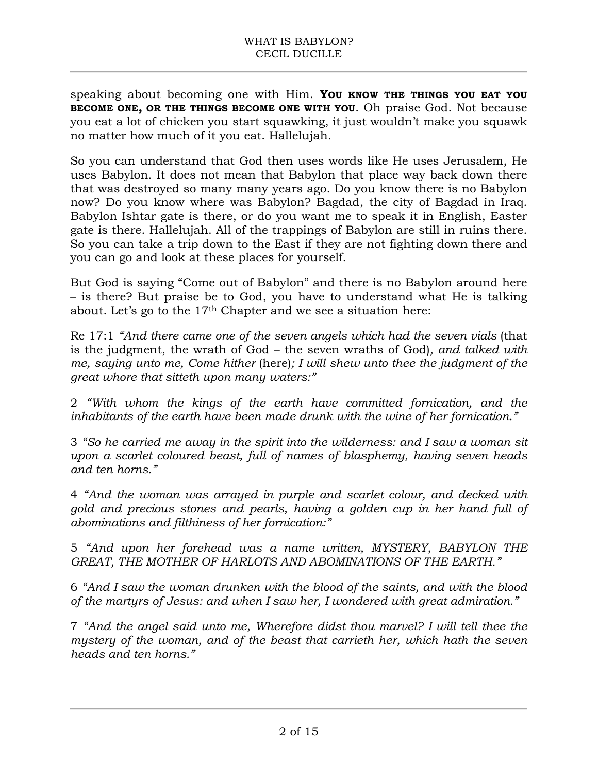speaking about becoming one with Him. **YOU KNOW THE THINGS YOU EAT YOU BECOME ONE, OR THE THINGS BECOME ONE WITH YOU**. Oh praise God. Not because you eat a lot of chicken you start squawking, it just wouldn't make you squawk no matter how much of it you eat. Hallelujah.

So you can understand that God then uses words like He uses Jerusalem, He uses Babylon. It does not mean that Babylon that place way back down there that was destroyed so many many years ago. Do you know there is no Babylon now? Do you know where was Babylon? Bagdad, the city of Bagdad in Iraq. Babylon Ishtar gate is there, or do you want me to speak it in English, Easter gate is there. Hallelujah. All of the trappings of Babylon are still in ruins there. So you can take a trip down to the East if they are not fighting down there and you can go and look at these places for yourself.

But God is saying "Come out of Babylon" and there is no Babylon around here – is there? But praise be to God, you have to understand what He is talking about. Let's go to the 17th Chapter and we see a situation here:

Re 17:1 "And there came one of the seven angels which had the seven vials (that is the judgment, the wrath of God – the seven wraths of God)*, and talked with me, saying unto me, Come hither* (here)*; I will shew unto thee the judgment of the great whore that sitteth upon many waters:"*

2 *"With whom the kings of the earth have committed fornication, and the inhabitants of the earth have been made drunk with the wine of her fornication."*

3 *"So he carried me away in the spirit into the wilderness: and I saw a woman sit upon a scarlet coloured beast, full of names of blasphemy, having seven heads and ten horns."*

4 *"And the woman was arrayed in purple and scarlet colour, and decked with gold and precious stones and pearls, having a golden cup in her hand full of abominations and filthiness of her fornication:"* 

5 *"And upon her forehead was a name written, MYSTERY, BABYLON THE GREAT, THE MOTHER OF HARLOTS AND ABOMINATIONS OF THE EARTH."*

6 *"And I saw the woman drunken with the blood of the saints, and with the blood of the martyrs of Jesus: and when I saw her, I wondered with great admiration."*

7 *"And the angel said unto me, Wherefore didst thou marvel? I will tell thee the mystery of the woman, and of the beast that carrieth her, which hath the seven heads and ten horns."*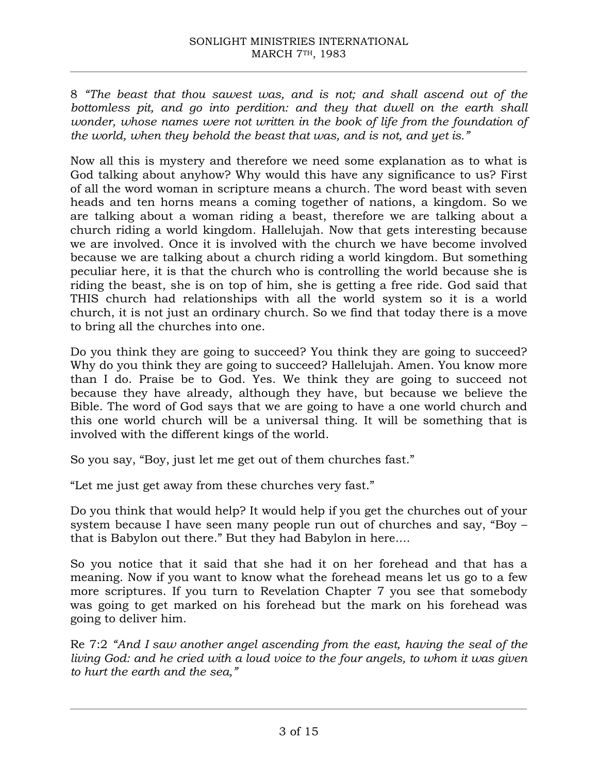8 *"The beast that thou sawest was, and is not; and shall ascend out of the*  bottomless pit, and go into perdition: and they that dwell on the earth shall *wonder, whose names were not written in the book of life from the foundation of the world, when they behold the beast that was, and is not, and yet is."*

Now all this is mystery and therefore we need some explanation as to what is God talking about anyhow? Why would this have any significance to us? First of all the word woman in scripture means a church. The word beast with seven heads and ten horns means a coming together of nations, a kingdom. So we are talking about a woman riding a beast, therefore we are talking about a church riding a world kingdom. Hallelujah. Now that gets interesting because we are involved. Once it is involved with the church we have become involved because we are talking about a church riding a world kingdom. But something peculiar here, it is that the church who is controlling the world because she is riding the beast, she is on top of him, she is getting a free ride. God said that THIS church had relationships with all the world system so it is a world church, it is not just an ordinary church. So we find that today there is a move to bring all the churches into one.

Do you think they are going to succeed? You think they are going to succeed? Why do you think they are going to succeed? Hallelujah. Amen. You know more than I do. Praise be to God. Yes. We think they are going to succeed not because they have already, although they have, but because we believe the Bible. The word of God says that we are going to have a one world church and this one world church will be a universal thing. It will be something that is involved with the different kings of the world.

So you say, "Boy, just let me get out of them churches fast."

"Let me just get away from these churches very fast."

Do you think that would help? It would help if you get the churches out of your system because I have seen many people run out of churches and say, "Boy – that is Babylon out there." But they had Babylon in here....

So you notice that it said that she had it on her forehead and that has a meaning. Now if you want to know what the forehead means let us go to a few more scriptures. If you turn to Revelation Chapter 7 you see that somebody was going to get marked on his forehead but the mark on his forehead was going to deliver him.

Re 7:2 *"And I saw another angel ascending from the east, having the seal of the living God: and he cried with a loud voice to the four angels, to whom it was given to hurt the earth and the sea,"*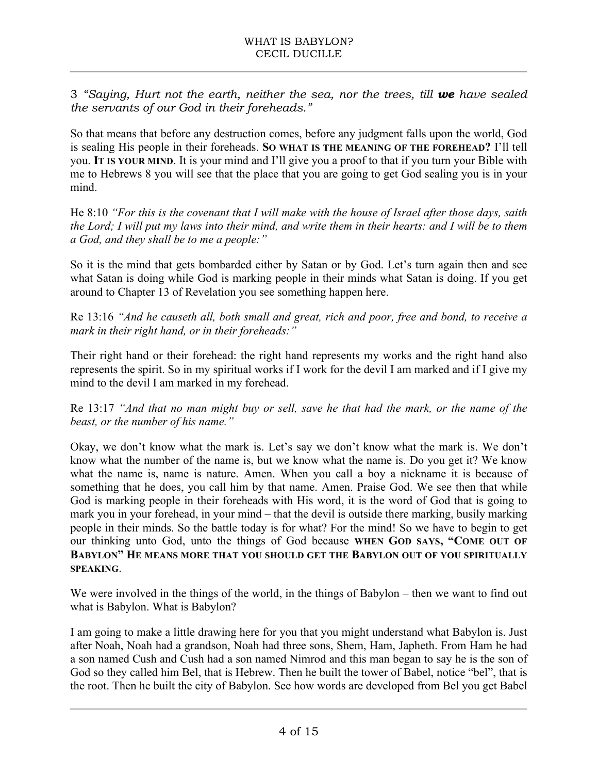3 *"Saying, Hurt not the earth, neither the sea, nor the trees, till we have sealed the servants of our God in their foreheads."*

So that means that before any destruction comes, before any judgment falls upon the world, God is sealing His people in their foreheads. **SO WHAT IS THE MEANING OF THE FOREHEAD?** I'll tell you. **IT IS YOUR MIND**. It is your mind and I'll give you a proof to that if you turn your Bible with me to Hebrews 8 you will see that the place that you are going to get God sealing you is in your mind.

He 8:10 *"For this is the covenant that I will make with the house of Israel after those days, saith the Lord; I will put my laws into their mind, and write them in their hearts: and I will be to them a God, and they shall be to me a people:"*

So it is the mind that gets bombarded either by Satan or by God. Let's turn again then and see what Satan is doing while God is marking people in their minds what Satan is doing. If you get around to Chapter 13 of Revelation you see something happen here.

Re 13:16 *"And he causeth all, both small and great, rich and poor, free and bond, to receive a mark in their right hand, or in their foreheads:"*

Their right hand or their forehead: the right hand represents my works and the right hand also represents the spirit. So in my spiritual works if I work for the devil I am marked and if I give my mind to the devil I am marked in my forehead.

Re 13:17 *"And that no man might buy or sell, save he that had the mark, or the name of the beast, or the number of his name."*

Okay, we don't know what the mark is. Let's say we don't know what the mark is. We don't know what the number of the name is, but we know what the name is. Do you get it? We know what the name is, name is nature. Amen. When you call a boy a nickname it is because of something that he does, you call him by that name. Amen. Praise God. We see then that while God is marking people in their foreheads with His word, it is the word of God that is going to mark you in your forehead, in your mind – that the devil is outside there marking, busily marking people in their minds. So the battle today is for what? For the mind! So we have to begin to get our thinking unto God, unto the things of God because **WHEN GOD SAYS, "COME OUT OF BABYLON" HE MEANS MORE THAT YOU SHOULD GET THE BABYLON OUT OF YOU SPIRITUALLY SPEAKING**.

We were involved in the things of the world, in the things of Babylon – then we want to find out what is Babylon. What is Babylon?

I am going to make a little drawing here for you that you might understand what Babylon is. Just after Noah, Noah had a grandson, Noah had three sons, Shem, Ham, Japheth. From Ham he had a son named Cush and Cush had a son named Nimrod and this man began to say he is the son of God so they called him Bel, that is Hebrew. Then he built the tower of Babel, notice "bel", that is the root. Then he built the city of Babylon. See how words are developed from Bel you get Babel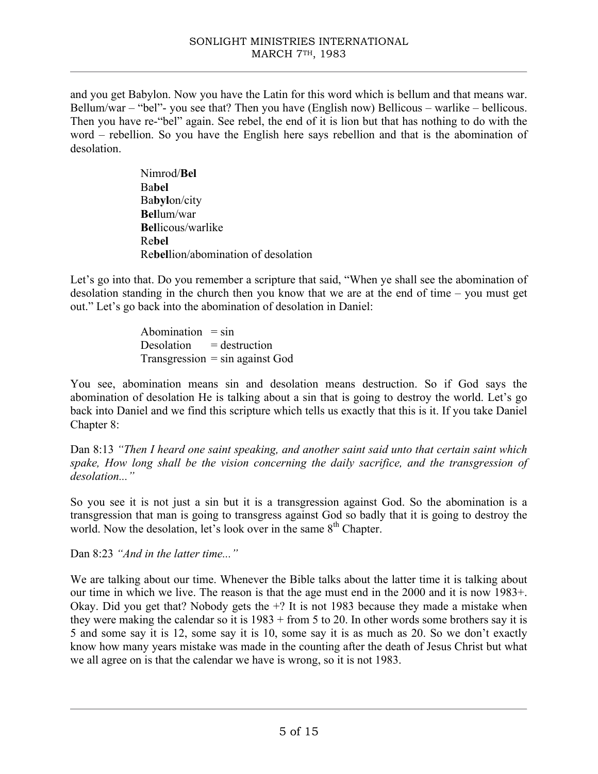and you get Babylon. Now you have the Latin for this word which is bellum and that means war. Bellum/war – "bel"- you see that? Then you have (English now) Bellicous – warlike – bellicous. Then you have re-"bel" again. See rebel, the end of it is lion but that has nothing to do with the word – rebellion. So you have the English here says rebellion and that is the abomination of desolation.

> Nimrod/**Bel** Ba**bel** Ba**byl**on/city **Bel**lum/war **Bel**licous/warlike Re**bel** Re**bel**lion/abomination of desolation

Let's go into that. Do you remember a scripture that said, "When ye shall see the abomination of desolation standing in the church then you know that we are at the end of time – you must get out." Let's go back into the abomination of desolation in Daniel:

> Abomination  $=$  sin Desolation  $=$  destruction  $Transgression = sin against God$

You see, abomination means sin and desolation means destruction. So if God says the abomination of desolation He is talking about a sin that is going to destroy the world. Let's go back into Daniel and we find this scripture which tells us exactly that this is it. If you take Daniel Chapter 8:

Dan 8:13 *"Then I heard one saint speaking, and another saint said unto that certain saint which spake, How long shall be the vision concerning the daily sacrifice, and the transgression of desolation..."*

So you see it is not just a sin but it is a transgression against God. So the abomination is a transgression that man is going to transgress against God so badly that it is going to destroy the world. Now the desolation, let's look over in the same 8<sup>th</sup> Chapter.

Dan 8:23 *"And in the latter time..."*

We are talking about our time. Whenever the Bible talks about the latter time it is talking about our time in which we live. The reason is that the age must end in the 2000 and it is now 1983+. Okay. Did you get that? Nobody gets the +? It is not 1983 because they made a mistake when they were making the calendar so it is 1983 + from 5 to 20. In other words some brothers say it is 5 and some say it is 12, some say it is 10, some say it is as much as 20. So we don't exactly know how many years mistake was made in the counting after the death of Jesus Christ but what we all agree on is that the calendar we have is wrong, so it is not 1983.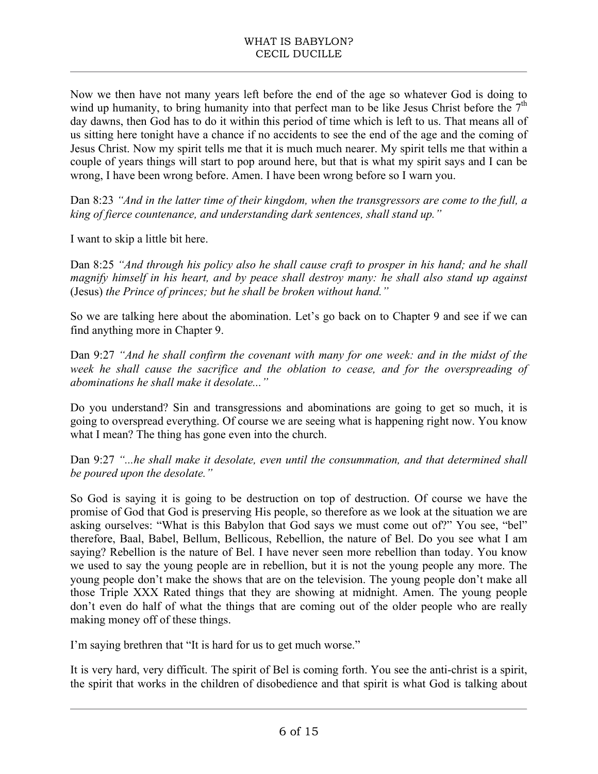Now we then have not many years left before the end of the age so whatever God is doing to wind up humanity, to bring humanity into that perfect man to be like Jesus Christ before the  $7<sup>th</sup>$ day dawns, then God has to do it within this period of time which is left to us. That means all of us sitting here tonight have a chance if no accidents to see the end of the age and the coming of Jesus Christ. Now my spirit tells me that it is much much nearer. My spirit tells me that within a couple of years things will start to pop around here, but that is what my spirit says and I can be wrong, I have been wrong before. Amen. I have been wrong before so I warn you.

Dan 8:23 *"And in the latter time of their kingdom, when the transgressors are come to the full, a king of fierce countenance, and understanding dark sentences, shall stand up."*

I want to skip a little bit here.

Dan 8:25 *"And through his policy also he shall cause craft to prosper in his hand; and he shall magnify himself in his heart, and by peace shall destroy many: he shall also stand up against*  (Jesus) *the Prince of princes; but he shall be broken without hand."* 

So we are talking here about the abomination. Let's go back on to Chapter 9 and see if we can find anything more in Chapter 9.

Dan 9:27 *"And he shall confirm the covenant with many for one week: and in the midst of the week he shall cause the sacrifice and the oblation to cease, and for the overspreading of abominations he shall make it desolate..."*

Do you understand? Sin and transgressions and abominations are going to get so much, it is going to overspread everything. Of course we are seeing what is happening right now. You know what I mean? The thing has gone even into the church.

Dan 9:27 *"...he shall make it desolate, even until the consummation, and that determined shall be poured upon the desolate."*

So God is saying it is going to be destruction on top of destruction. Of course we have the promise of God that God is preserving His people, so therefore as we look at the situation we are asking ourselves: "What is this Babylon that God says we must come out of?" You see, "bel" therefore, Baal, Babel, Bellum, Bellicous, Rebellion, the nature of Bel. Do you see what I am saying? Rebellion is the nature of Bel. I have never seen more rebellion than today. You know we used to say the young people are in rebellion, but it is not the young people any more. The young people don't make the shows that are on the television. The young people don't make all those Triple XXX Rated things that they are showing at midnight. Amen. The young people don't even do half of what the things that are coming out of the older people who are really making money off of these things.

I'm saying brethren that "It is hard for us to get much worse."

It is very hard, very difficult. The spirit of Bel is coming forth. You see the anti-christ is a spirit, the spirit that works in the children of disobedience and that spirit is what God is talking about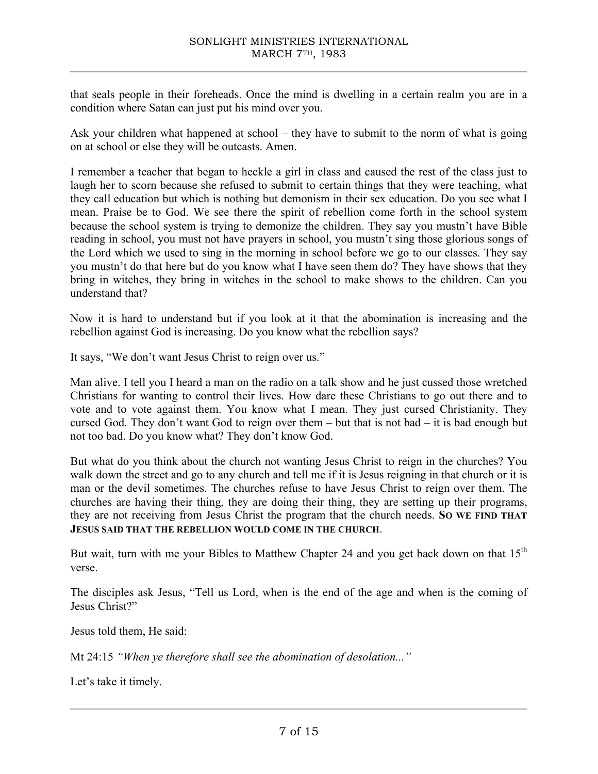that seals people in their foreheads. Once the mind is dwelling in a certain realm you are in a condition where Satan can just put his mind over you.

Ask your children what happened at school – they have to submit to the norm of what is going on at school or else they will be outcasts. Amen.

I remember a teacher that began to heckle a girl in class and caused the rest of the class just to laugh her to scorn because she refused to submit to certain things that they were teaching, what they call education but which is nothing but demonism in their sex education. Do you see what I mean. Praise be to God. We see there the spirit of rebellion come forth in the school system because the school system is trying to demonize the children. They say you mustn't have Bible reading in school, you must not have prayers in school, you mustn't sing those glorious songs of the Lord which we used to sing in the morning in school before we go to our classes. They say you mustn't do that here but do you know what I have seen them do? They have shows that they bring in witches, they bring in witches in the school to make shows to the children. Can you understand that?

Now it is hard to understand but if you look at it that the abomination is increasing and the rebellion against God is increasing. Do you know what the rebellion says?

It says, "We don't want Jesus Christ to reign over us."

Man alive. I tell you I heard a man on the radio on a talk show and he just cussed those wretched Christians for wanting to control their lives. How dare these Christians to go out there and to vote and to vote against them. You know what I mean. They just cursed Christianity. They cursed God. They don't want God to reign over them – but that is not bad – it is bad enough but not too bad. Do you know what? They don't know God.

But what do you think about the church not wanting Jesus Christ to reign in the churches? You walk down the street and go to any church and tell me if it is Jesus reigning in that church or it is man or the devil sometimes. The churches refuse to have Jesus Christ to reign over them. The churches are having their thing, they are doing their thing, they are setting up their programs, they are not receiving from Jesus Christ the program that the church needs. **SO WE FIND THAT JESUS SAID THAT THE REBELLION WOULD COME IN THE CHURCH**.

But wait, turn with me your Bibles to Matthew Chapter 24 and you get back down on that  $15<sup>th</sup>$ verse.

The disciples ask Jesus, "Tell us Lord, when is the end of the age and when is the coming of Jesus Christ?"

Jesus told them, He said:

Mt 24:15 *"When ye therefore shall see the abomination of desolation..."*

Let's take it timely.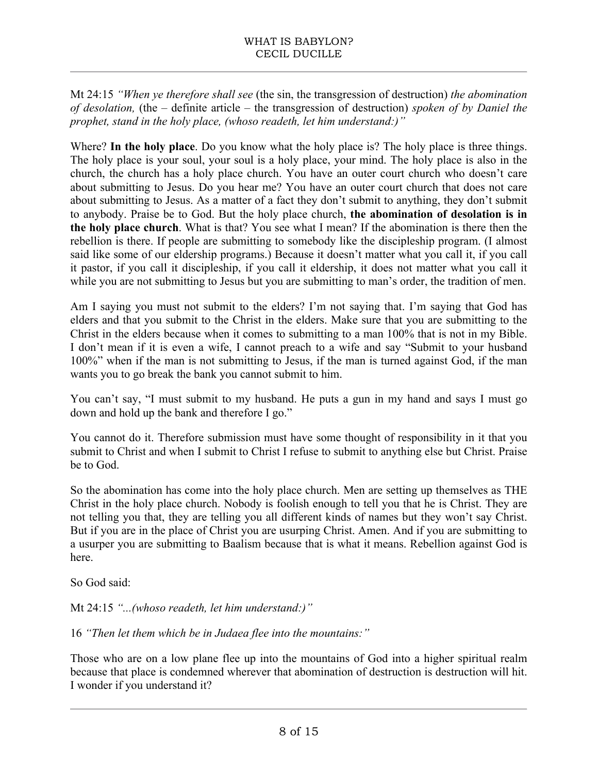Mt 24:15 *"When ye therefore shall see* (the sin, the transgression of destruction) *the abomination of desolation,* (the – definite article – the transgression of destruction) *spoken of by Daniel the prophet, stand in the holy place, (whoso readeth, let him understand:)"*

Where? **In the holy place**. Do you know what the holy place is? The holy place is three things. The holy place is your soul, your soul is a holy place, your mind. The holy place is also in the church, the church has a holy place church. You have an outer court church who doesn't care about submitting to Jesus. Do you hear me? You have an outer court church that does not care about submitting to Jesus. As a matter of a fact they don't submit to anything, they don't submit to anybody. Praise be to God. But the holy place church, **the abomination of desolation is in the holy place church**. What is that? You see what I mean? If the abomination is there then the rebellion is there. If people are submitting to somebody like the discipleship program. (I almost said like some of our eldership programs.) Because it doesn't matter what you call it, if you call it pastor, if you call it discipleship, if you call it eldership, it does not matter what you call it while you are not submitting to Jesus but you are submitting to man's order, the tradition of men.

Am I saying you must not submit to the elders? I'm not saying that. I'm saying that God has elders and that you submit to the Christ in the elders. Make sure that you are submitting to the Christ in the elders because when it comes to submitting to a man 100% that is not in my Bible. I don't mean if it is even a wife, I cannot preach to a wife and say "Submit to your husband 100%" when if the man is not submitting to Jesus, if the man is turned against God, if the man wants you to go break the bank you cannot submit to him.

You can't say, "I must submit to my husband. He puts a gun in my hand and says I must go down and hold up the bank and therefore I go."

You cannot do it. Therefore submission must have some thought of responsibility in it that you submit to Christ and when I submit to Christ I refuse to submit to anything else but Christ. Praise be to God.

So the abomination has come into the holy place church. Men are setting up themselves as THE Christ in the holy place church. Nobody is foolish enough to tell you that he is Christ. They are not telling you that, they are telling you all different kinds of names but they won't say Christ. But if you are in the place of Christ you are usurping Christ. Amen. And if you are submitting to a usurper you are submitting to Baalism because that is what it means. Rebellion against God is here.

So God said:

Mt 24:15 *"...(whoso readeth, let him understand:)"*

16 *"Then let them which be in Judaea flee into the mountains:"*

Those who are on a low plane flee up into the mountains of God into a higher spiritual realm because that place is condemned wherever that abomination of destruction is destruction will hit. I wonder if you understand it?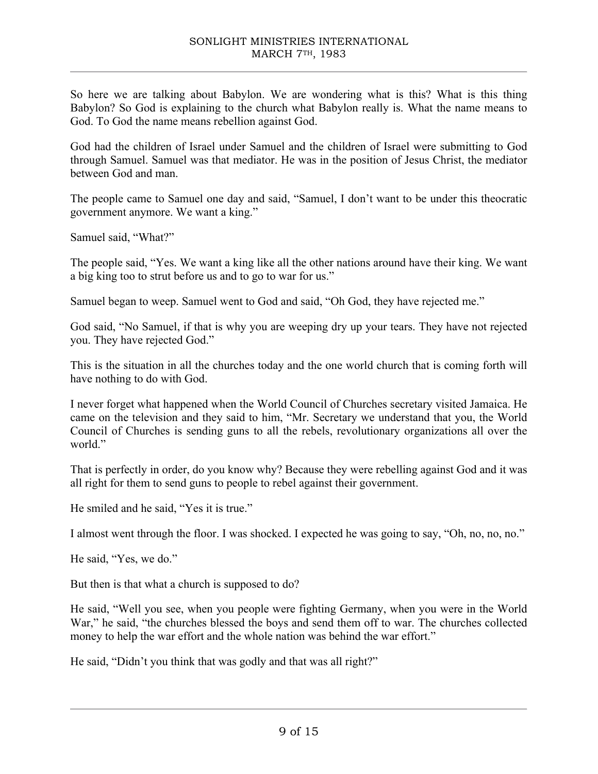So here we are talking about Babylon. We are wondering what is this? What is this thing Babylon? So God is explaining to the church what Babylon really is. What the name means to God. To God the name means rebellion against God.

God had the children of Israel under Samuel and the children of Israel were submitting to God through Samuel. Samuel was that mediator. He was in the position of Jesus Christ, the mediator between God and man.

The people came to Samuel one day and said, "Samuel, I don't want to be under this theocratic government anymore. We want a king."

Samuel said, "What?"

The people said, "Yes. We want a king like all the other nations around have their king. We want a big king too to strut before us and to go to war for us."

Samuel began to weep. Samuel went to God and said, "Oh God, they have rejected me."

God said, "No Samuel, if that is why you are weeping dry up your tears. They have not rejected you. They have rejected God."

This is the situation in all the churches today and the one world church that is coming forth will have nothing to do with God.

I never forget what happened when the World Council of Churches secretary visited Jamaica. He came on the television and they said to him, "Mr. Secretary we understand that you, the World Council of Churches is sending guns to all the rebels, revolutionary organizations all over the world."

That is perfectly in order, do you know why? Because they were rebelling against God and it was all right for them to send guns to people to rebel against their government.

He smiled and he said, "Yes it is true."

I almost went through the floor. I was shocked. I expected he was going to say, "Oh, no, no, no."

He said, "Yes, we do."

But then is that what a church is supposed to do?

He said, "Well you see, when you people were fighting Germany, when you were in the World War," he said, "the churches blessed the boys and send them off to war. The churches collected money to help the war effort and the whole nation was behind the war effort."

He said, "Didn't you think that was godly and that was all right?"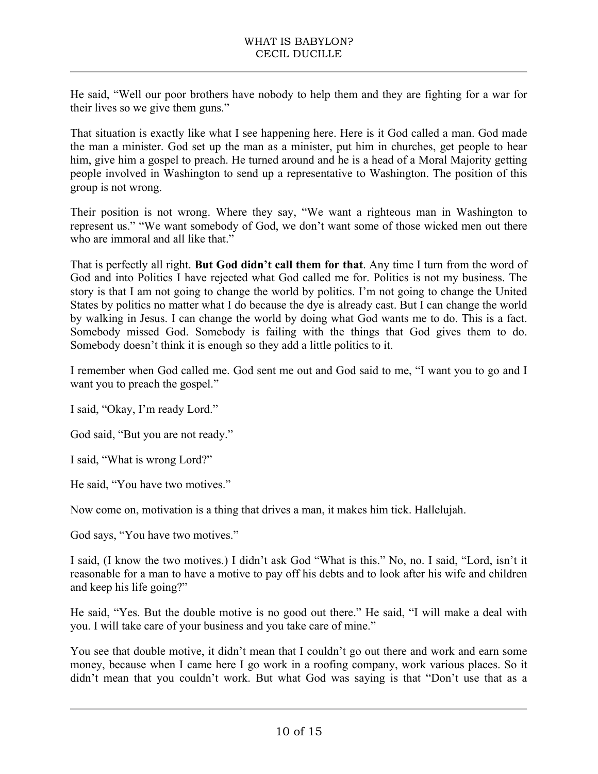He said, "Well our poor brothers have nobody to help them and they are fighting for a war for their lives so we give them guns."

That situation is exactly like what I see happening here. Here is it God called a man. God made the man a minister. God set up the man as a minister, put him in churches, get people to hear him, give him a gospel to preach. He turned around and he is a head of a Moral Majority getting people involved in Washington to send up a representative to Washington. The position of this group is not wrong.

Their position is not wrong. Where they say, "We want a righteous man in Washington to represent us." "We want somebody of God, we don't want some of those wicked men out there who are immoral and all like that."

That is perfectly all right. **But God didn't call them for that**. Any time I turn from the word of God and into Politics I have rejected what God called me for. Politics is not my business. The story is that I am not going to change the world by politics. I'm not going to change the United States by politics no matter what I do because the dye is already cast. But I can change the world by walking in Jesus. I can change the world by doing what God wants me to do. This is a fact. Somebody missed God. Somebody is failing with the things that God gives them to do. Somebody doesn't think it is enough so they add a little politics to it.

I remember when God called me. God sent me out and God said to me, "I want you to go and I want you to preach the gospel."

I said, "Okay, I'm ready Lord."

God said, "But you are not ready."

I said, "What is wrong Lord?"

He said, "You have two motives."

Now come on, motivation is a thing that drives a man, it makes him tick. Hallelujah.

God says, "You have two motives."

I said, (I know the two motives.) I didn't ask God "What is this." No, no. I said, "Lord, isn't it reasonable for a man to have a motive to pay off his debts and to look after his wife and children and keep his life going?"

He said, "Yes. But the double motive is no good out there." He said, "I will make a deal with you. I will take care of your business and you take care of mine."

You see that double motive, it didn't mean that I couldn't go out there and work and earn some money, because when I came here I go work in a roofing company, work various places. So it didn't mean that you couldn't work. But what God was saying is that "Don't use that as a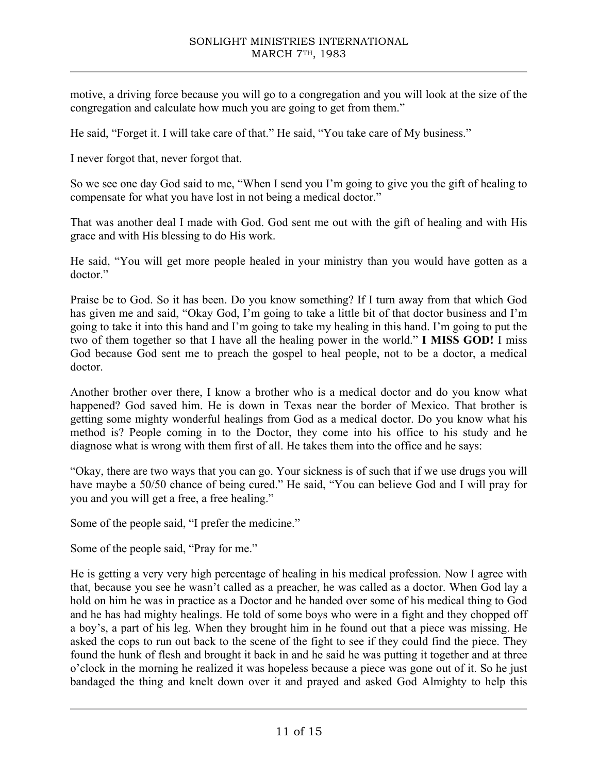motive, a driving force because you will go to a congregation and you will look at the size of the congregation and calculate how much you are going to get from them."

He said, "Forget it. I will take care of that." He said, "You take care of My business."

I never forgot that, never forgot that.

So we see one day God said to me, "When I send you I'm going to give you the gift of healing to compensate for what you have lost in not being a medical doctor."

That was another deal I made with God. God sent me out with the gift of healing and with His grace and with His blessing to do His work.

He said, "You will get more people healed in your ministry than you would have gotten as a doctor."

Praise be to God. So it has been. Do you know something? If I turn away from that which God has given me and said, "Okay God, I'm going to take a little bit of that doctor business and I'm going to take it into this hand and I'm going to take my healing in this hand. I'm going to put the two of them together so that I have all the healing power in the world." **I MISS GOD!** I miss God because God sent me to preach the gospel to heal people, not to be a doctor, a medical doctor.

Another brother over there, I know a brother who is a medical doctor and do you know what happened? God saved him. He is down in Texas near the border of Mexico. That brother is getting some mighty wonderful healings from God as a medical doctor. Do you know what his method is? People coming in to the Doctor, they come into his office to his study and he diagnose what is wrong with them first of all. He takes them into the office and he says:

"Okay, there are two ways that you can go. Your sickness is of such that if we use drugs you will have maybe a 50/50 chance of being cured." He said, "You can believe God and I will pray for you and you will get a free, a free healing."

Some of the people said, "I prefer the medicine."

Some of the people said, "Pray for me."

He is getting a very very high percentage of healing in his medical profession. Now I agree with that, because you see he wasn't called as a preacher, he was called as a doctor. When God lay a hold on him he was in practice as a Doctor and he handed over some of his medical thing to God and he has had mighty healings. He told of some boys who were in a fight and they chopped off a boy's, a part of his leg. When they brought him in he found out that a piece was missing. He asked the cops to run out back to the scene of the fight to see if they could find the piece. They found the hunk of flesh and brought it back in and he said he was putting it together and at three o'clock in the morning he realized it was hopeless because a piece was gone out of it. So he just bandaged the thing and knelt down over it and prayed and asked God Almighty to help this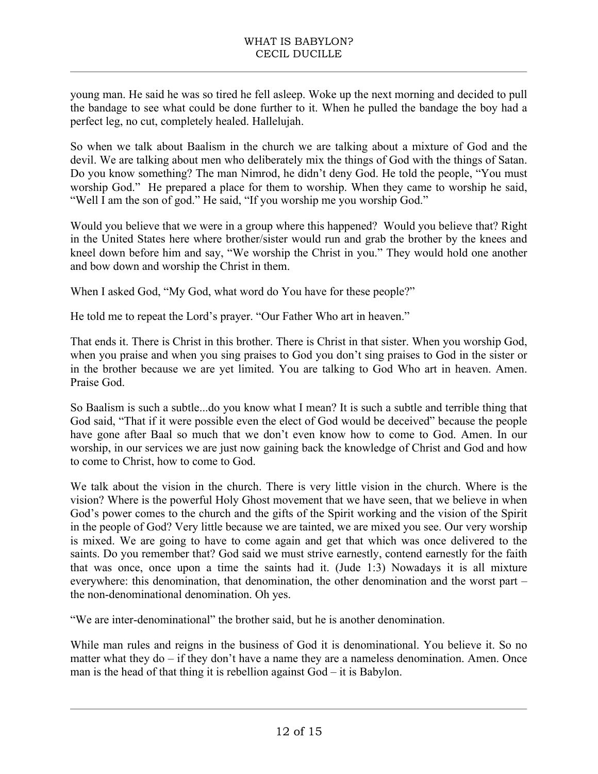young man. He said he was so tired he fell asleep. Woke up the next morning and decided to pull the bandage to see what could be done further to it. When he pulled the bandage the boy had a perfect leg, no cut, completely healed. Hallelujah.

So when we talk about Baalism in the church we are talking about a mixture of God and the devil. We are talking about men who deliberately mix the things of God with the things of Satan. Do you know something? The man Nimrod, he didn't deny God. He told the people, "You must worship God." He prepared a place for them to worship. When they came to worship he said, "Well I am the son of god." He said, "If you worship me you worship God."

Would you believe that we were in a group where this happened? Would you believe that? Right in the United States here where brother/sister would run and grab the brother by the knees and kneel down before him and say, "We worship the Christ in you." They would hold one another and bow down and worship the Christ in them.

When I asked God, "My God, what word do You have for these people?"

He told me to repeat the Lord's prayer. "Our Father Who art in heaven."

That ends it. There is Christ in this brother. There is Christ in that sister. When you worship God, when you praise and when you sing praises to God you don't sing praises to God in the sister or in the brother because we are yet limited. You are talking to God Who art in heaven. Amen. Praise God.

So Baalism is such a subtle...do you know what I mean? It is such a subtle and terrible thing that God said, "That if it were possible even the elect of God would be deceived" because the people have gone after Baal so much that we don't even know how to come to God. Amen. In our worship, in our services we are just now gaining back the knowledge of Christ and God and how to come to Christ, how to come to God.

We talk about the vision in the church. There is very little vision in the church. Where is the vision? Where is the powerful Holy Ghost movement that we have seen, that we believe in when God's power comes to the church and the gifts of the Spirit working and the vision of the Spirit in the people of God? Very little because we are tainted, we are mixed you see. Our very worship is mixed. We are going to have to come again and get that which was once delivered to the saints. Do you remember that? God said we must strive earnestly, contend earnestly for the faith that was once, once upon a time the saints had it. (Jude 1:3) Nowadays it is all mixture everywhere: this denomination, that denomination, the other denomination and the worst part – the non-denominational denomination. Oh yes.

"We are inter-denominational" the brother said, but he is another denomination.

While man rules and reigns in the business of God it is denominational. You believe it. So no matter what they do – if they don't have a name they are a nameless denomination. Amen. Once man is the head of that thing it is rebellion against God – it is Babylon.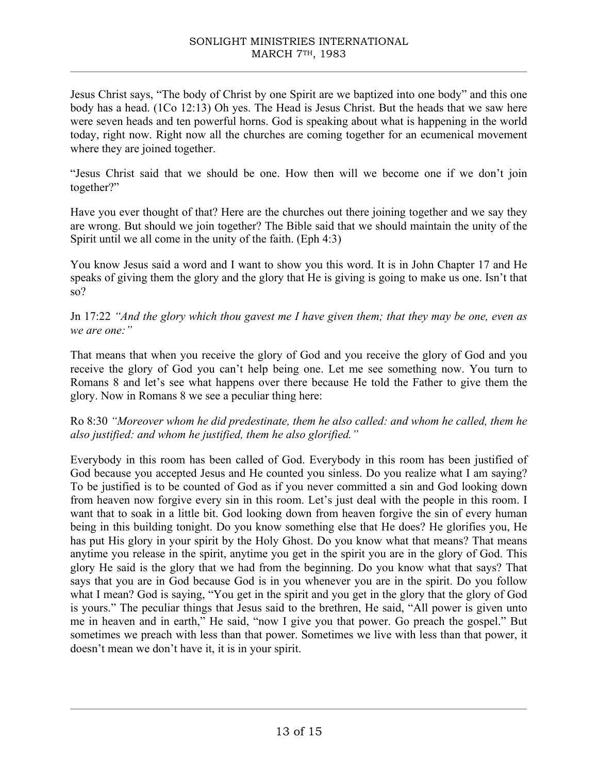Jesus Christ says, "The body of Christ by one Spirit are we baptized into one body" and this one body has a head. (1Co 12:13) Oh yes. The Head is Jesus Christ. But the heads that we saw here were seven heads and ten powerful horns. God is speaking about what is happening in the world today, right now. Right now all the churches are coming together for an ecumenical movement where they are joined together.

"Jesus Christ said that we should be one. How then will we become one if we don't join together?"

Have you ever thought of that? Here are the churches out there joining together and we say they are wrong. But should we join together? The Bible said that we should maintain the unity of the Spirit until we all come in the unity of the faith. (Eph 4:3)

You know Jesus said a word and I want to show you this word. It is in John Chapter 17 and He speaks of giving them the glory and the glory that He is giving is going to make us one. Isn't that so?

Jn 17:22 *"And the glory which thou gavest me I have given them; that they may be one, even as we are one:"*

That means that when you receive the glory of God and you receive the glory of God and you receive the glory of God you can't help being one. Let me see something now. You turn to Romans 8 and let's see what happens over there because He told the Father to give them the glory. Now in Romans 8 we see a peculiar thing here:

## Ro 8:30 *"Moreover whom he did predestinate, them he also called: and whom he called, them he also justified: and whom he justified, them he also glorified."*

Everybody in this room has been called of God. Everybody in this room has been justified of God because you accepted Jesus and He counted you sinless. Do you realize what I am saying? To be justified is to be counted of God as if you never committed a sin and God looking down from heaven now forgive every sin in this room. Let's just deal with the people in this room. I want that to soak in a little bit. God looking down from heaven forgive the sin of every human being in this building tonight. Do you know something else that He does? He glorifies you, He has put His glory in your spirit by the Holy Ghost. Do you know what that means? That means anytime you release in the spirit, anytime you get in the spirit you are in the glory of God. This glory He said is the glory that we had from the beginning. Do you know what that says? That says that you are in God because God is in you whenever you are in the spirit. Do you follow what I mean? God is saying, "You get in the spirit and you get in the glory that the glory of God is yours." The peculiar things that Jesus said to the brethren, He said, "All power is given unto me in heaven and in earth," He said, "now I give you that power. Go preach the gospel." But sometimes we preach with less than that power. Sometimes we live with less than that power, it doesn't mean we don't have it, it is in your spirit.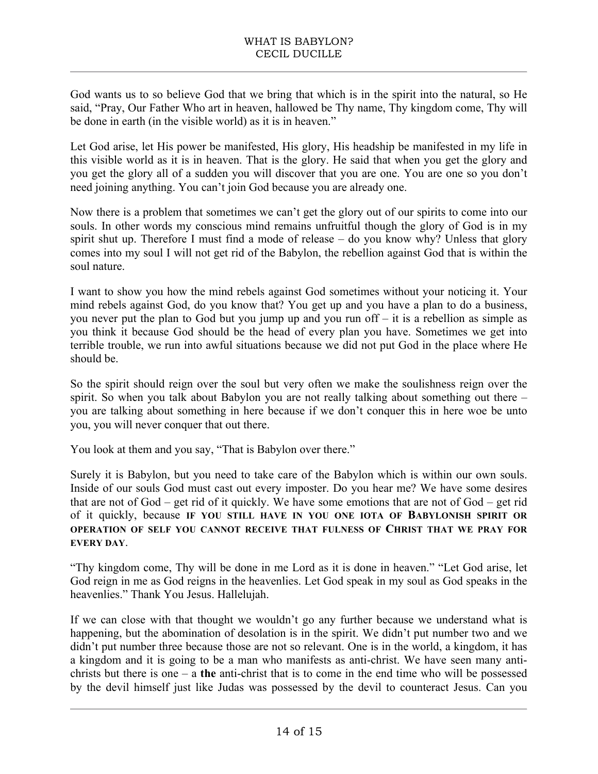God wants us to so believe God that we bring that which is in the spirit into the natural, so He said, "Pray, Our Father Who art in heaven, hallowed be Thy name, Thy kingdom come, Thy will be done in earth (in the visible world) as it is in heaven."

Let God arise, let His power be manifested, His glory, His headship be manifested in my life in this visible world as it is in heaven. That is the glory. He said that when you get the glory and you get the glory all of a sudden you will discover that you are one. You are one so you don't need joining anything. You can't join God because you are already one.

Now there is a problem that sometimes we can't get the glory out of our spirits to come into our souls. In other words my conscious mind remains unfruitful though the glory of God is in my spirit shut up. Therefore I must find a mode of release – do you know why? Unless that glory comes into my soul I will not get rid of the Babylon, the rebellion against God that is within the soul nature.

I want to show you how the mind rebels against God sometimes without your noticing it. Your mind rebels against God, do you know that? You get up and you have a plan to do a business, you never put the plan to God but you jump up and you run off – it is a rebellion as simple as you think it because God should be the head of every plan you have. Sometimes we get into terrible trouble, we run into awful situations because we did not put God in the place where He should be.

So the spirit should reign over the soul but very often we make the soulishness reign over the spirit. So when you talk about Babylon you are not really talking about something out there – you are talking about something in here because if we don't conquer this in here woe be unto you, you will never conquer that out there.

You look at them and you say, "That is Babylon over there."

Surely it is Babylon, but you need to take care of the Babylon which is within our own souls. Inside of our souls God must cast out every imposter. Do you hear me? We have some desires that are not of God – get rid of it quickly. We have some emotions that are not of God – get rid of it quickly, because **IF YOU STILL HAVE IN YOU ONE IOTA OF BABYLONISH SPIRIT OR OPERATION OF SELF YOU CANNOT RECEIVE THAT FULNESS OF CHRIST THAT WE PRAY FOR EVERY DAY**.

"Thy kingdom come, Thy will be done in me Lord as it is done in heaven." "Let God arise, let God reign in me as God reigns in the heavenlies. Let God speak in my soul as God speaks in the heavenlies." Thank You Jesus. Hallelujah.

If we can close with that thought we wouldn't go any further because we understand what is happening, but the abomination of desolation is in the spirit. We didn't put number two and we didn't put number three because those are not so relevant. One is in the world, a kingdom, it has a kingdom and it is going to be a man who manifests as anti-christ. We have seen many antichrists but there is one – a **the** anti-christ that is to come in the end time who will be possessed by the devil himself just like Judas was possessed by the devil to counteract Jesus. Can you